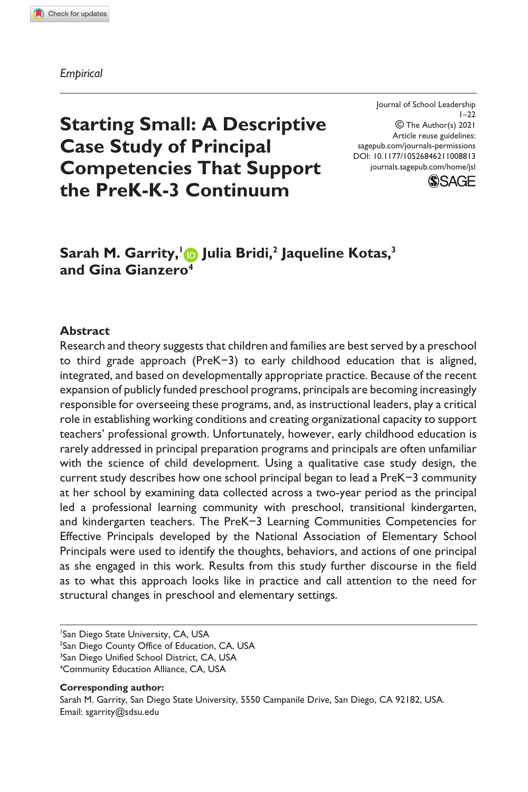#### *Empirical*

Journal of School Leadership  $1 - 22$  The Author(s) 2021 Article reuse guidelines: sagepub.com/journals-permissions DOI: 10.1177/10526846211008813 journals.sagepub.com/home/jsl



# **Starting Small: A Descriptive Case Study of Principal Competencies That Support the PreK-K-3 Continuum**

# **Sarah M. Garrity, 1 Julia Bridi,2 Jaqueline Kotas,3 and Gina Gianzero4**

#### **Abstract**

Research and theory suggests that children and families are best served by a preschool to third grade approach (PreK−3) to early childhood education that is aligned, integrated, and based on developmentally appropriate practice. Because of the recent expansion of publicly funded preschool programs, principals are becoming increasingly responsible for overseeing these programs, and, as instructional leaders, play a critical role in establishing working conditions and creating organizational capacity to support teachers' professional growth. Unfortunately, however, early childhood education is rarely addressed in principal preparation programs and principals are often unfamiliar with the science of child development. Using a qualitative case study design, the current study describes how one school principal began to lead a PreK−3 community at her school by examining data collected across a two-year period as the principal led a professional learning community with preschool, transitional kindergarten, and kindergarten teachers. The PreK−3 Learning Communities Competencies for Effective Principals developed by the National Association of Elementary School Principals were used to identify the thoughts, behaviors, and actions of one principal as she engaged in this work. Results from this study further discourse in the field as to what this approach looks like in practice and call attention to the need for structural changes in preschool and elementary settings.

 San Diego State University, CA, USA San Diego County Office of Education, CA, USA <sup>3</sup>San Diego Unified School District, CA, USA Community Education Alliance, CA, USA

#### **Corresponding author:**

Sarah M. Garrity, San Diego State University, 5550 Campanile Drive, San Diego, CA 92182, USA. Email: sgarrity@sdsu.edu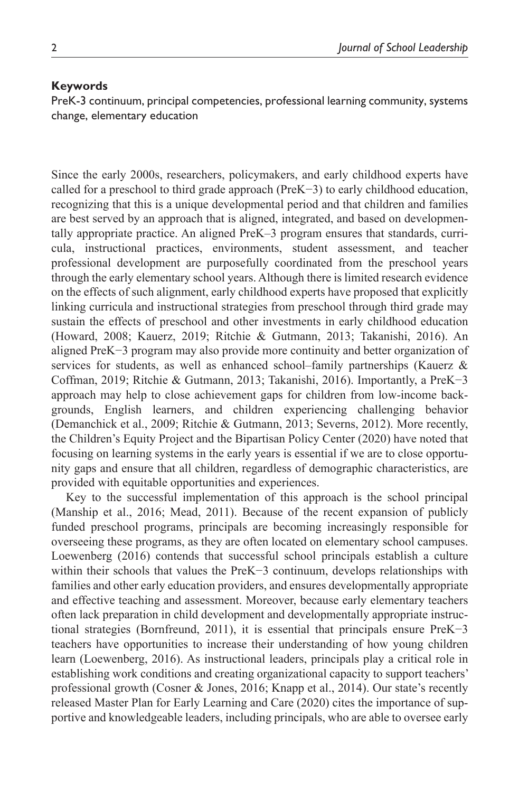#### **Keywords**

PreK-3 continuum, principal competencies, professional learning community, systems change, elementary education

Since the early 2000s, researchers, policymakers, and early childhood experts have called for a preschool to third grade approach (PreK−3) to early childhood education, recognizing that this is a unique developmental period and that children and families are best served by an approach that is aligned, integrated, and based on developmentally appropriate practice. An aligned PreK–3 program ensures that standards, curricula, instructional practices, environments, student assessment, and teacher professional development are purposefully coordinated from the preschool years through the early elementary school years. Although there is limited research evidence on the effects of such alignment, early childhood experts have proposed that explicitly linking curricula and instructional strategies from preschool through third grade may sustain the effects of preschool and other investments in early childhood education (Howard, 2008; Kauerz, 2019; Ritchie & Gutmann, 2013; Takanishi, 2016). An aligned PreK−3 program may also provide more continuity and better organization of services for students, as well as enhanced school–family partnerships (Kauerz  $\&$ Coffman, 2019; Ritchie & Gutmann, 2013; Takanishi, 2016). Importantly, a PreK−3 approach may help to close achievement gaps for children from low-income backgrounds, English learners, and children experiencing challenging behavior (Demanchick et al., 2009; Ritchie & Gutmann, 2013; Severns, 2012). More recently, the Children's Equity Project and the Bipartisan Policy Center (2020) have noted that focusing on learning systems in the early years is essential if we are to close opportunity gaps and ensure that all children, regardless of demographic characteristics, are provided with equitable opportunities and experiences.

Key to the successful implementation of this approach is the school principal (Manship et al., 2016; Mead, 2011). Because of the recent expansion of publicly funded preschool programs, principals are becoming increasingly responsible for overseeing these programs, as they are often located on elementary school campuses. Loewenberg (2016) contends that successful school principals establish a culture within their schools that values the PreK−3 continuum, develops relationships with families and other early education providers, and ensures developmentally appropriate and effective teaching and assessment. Moreover, because early elementary teachers often lack preparation in child development and developmentally appropriate instructional strategies (Bornfreund, 2011), it is essential that principals ensure PreK−3 teachers have opportunities to increase their understanding of how young children learn (Loewenberg, 2016). As instructional leaders, principals play a critical role in establishing work conditions and creating organizational capacity to support teachers' professional growth (Cosner & Jones, 2016; Knapp et al., 2014). Our state's recently released Master Plan for Early Learning and Care (2020) cites the importance of supportive and knowledgeable leaders, including principals, who are able to oversee early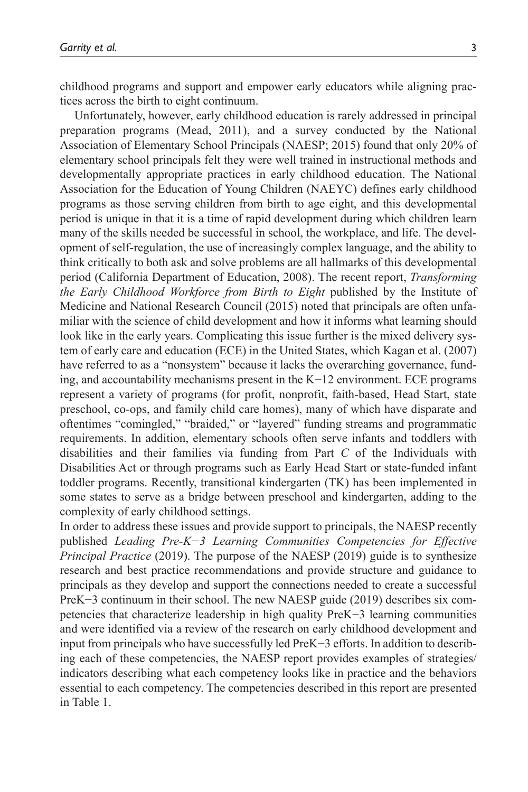childhood programs and support and empower early educators while aligning practices across the birth to eight continuum.

Unfortunately, however, early childhood education is rarely addressed in principal preparation programs (Mead, 2011), and a survey conducted by the National Association of Elementary School Principals (NAESP; 2015) found that only 20% of elementary school principals felt they were well trained in instructional methods and developmentally appropriate practices in early childhood education. The National Association for the Education of Young Children (NAEYC) defines early childhood programs as those serving children from birth to age eight, and this developmental period is unique in that it is a time of rapid development during which children learn many of the skills needed be successful in school, the workplace, and life. The development of self-regulation, the use of increasingly complex language, and the ability to think critically to both ask and solve problems are all hallmarks of this developmental period (California Department of Education, 2008). The recent report, *Transforming the Early Childhood Workforce from Birth to Eight* published by the Institute of Medicine and National Research Council (2015) noted that principals are often unfamiliar with the science of child development and how it informs what learning should look like in the early years. Complicating this issue further is the mixed delivery system of early care and education (ECE) in the United States, which Kagan et al. (2007) have referred to as a "nonsystem" because it lacks the overarching governance, funding, and accountability mechanisms present in the K−12 environment. ECE programs represent a variety of programs (for profit, nonprofit, faith-based, Head Start, state preschool, co-ops, and family child care homes), many of which have disparate and oftentimes "comingled," "braided," or "layered" funding streams and programmatic requirements. In addition, elementary schools often serve infants and toddlers with disabilities and their families via funding from Part *C* of the Individuals with Disabilities Act or through programs such as Early Head Start or state-funded infant toddler programs. Recently, transitional kindergarten (TK) has been implemented in some states to serve as a bridge between preschool and kindergarten, adding to the complexity of early childhood settings.

In order to address these issues and provide support to principals, the NAESP recently published *Leading Pre-K−3 Learning Communities Competencies for Effective Principal Practice* (2019). The purpose of the NAESP (2019) guide is to synthesize research and best practice recommendations and provide structure and guidance to principals as they develop and support the connections needed to create a successful PreK−3 continuum in their school. The new NAESP guide (2019) describes six competencies that characterize leadership in high quality PreK−3 learning communities and were identified via a review of the research on early childhood development and input from principals who have successfully led PreK−3 efforts. In addition to describing each of these competencies, the NAESP report provides examples of strategies/ indicators describing what each competency looks like in practice and the behaviors essential to each competency. The competencies described in this report are presented in Table 1.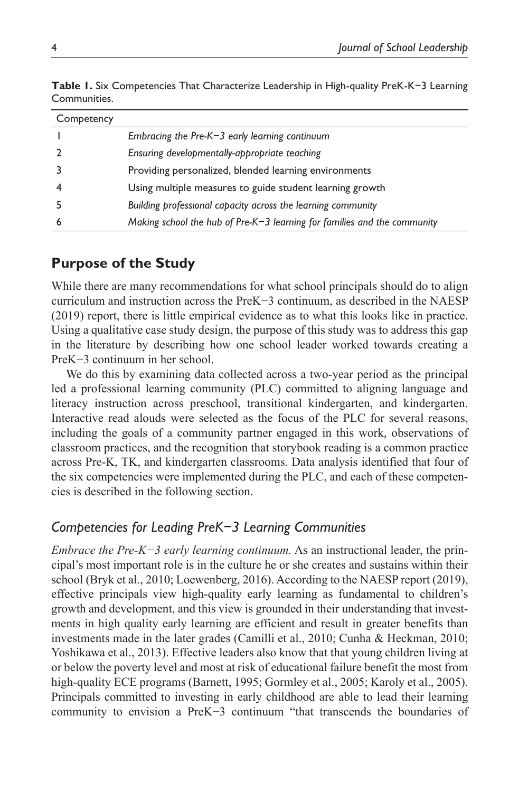| Competency |                                                                          |
|------------|--------------------------------------------------------------------------|
|            | Embracing the Pre- $K-3$ early learning continuum                        |
|            | Ensuring developmentally-appropriate teaching                            |
|            | Providing personalized, blended learning environments                    |
|            | Using multiple measures to guide student learning growth                 |
|            | Building professional capacity across the learning community             |
|            | Making school the hub of Pre-K-3 learning for families and the community |

**Table 1.** Six Competencies That Characterize Leadership in High-quality PreK-K−3 Learning Communities.

# **Purpose of the Study**

While there are many recommendations for what school principals should do to align curriculum and instruction across the PreK−3 continuum, as described in the NAESP (2019) report, there is little empirical evidence as to what this looks like in practice. Using a qualitative case study design, the purpose of this study was to address this gap in the literature by describing how one school leader worked towards creating a PreK−3 continuum in her school.

We do this by examining data collected across a two-year period as the principal led a professional learning community (PLC) committed to aligning language and literacy instruction across preschool, transitional kindergarten, and kindergarten. Interactive read alouds were selected as the focus of the PLC for several reasons, including the goals of a community partner engaged in this work, observations of classroom practices, and the recognition that storybook reading is a common practice across Pre-K, TK, and kindergarten classrooms. Data analysis identified that four of the six competencies were implemented during the PLC, and each of these competencies is described in the following section.

# *Competencies for Leading PreK−3 Learning Communities*

*Embrace the Pre-K−3 early learning continuum.* As an instructional leader, the principal's most important role is in the culture he or she creates and sustains within their school (Bryk et al., 2010; Loewenberg, 2016). According to the NAESP report (2019), effective principals view high-quality early learning as fundamental to children's growth and development, and this view is grounded in their understanding that investments in high quality early learning are efficient and result in greater benefits than investments made in the later grades (Camilli et al., 2010; Cunha & Heckman, 2010; Yoshikawa et al., 2013). Effective leaders also know that that young children living at or below the poverty level and most at risk of educational failure benefit the most from high-quality ECE programs (Barnett, 1995; Gormley et al., 2005; Karoly et al., 2005). Principals committed to investing in early childhood are able to lead their learning community to envision a PreK−3 continuum "that transcends the boundaries of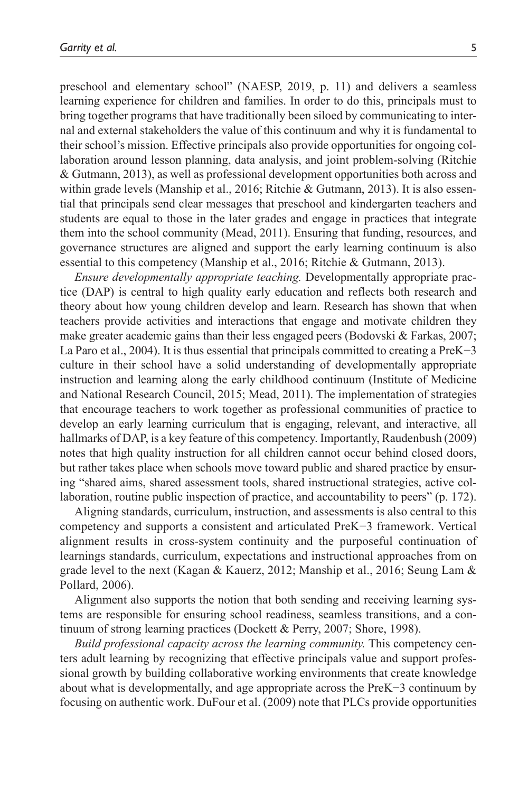preschool and elementary school" (NAESP, 2019, p. 11) and delivers a seamless learning experience for children and families. In order to do this, principals must to bring together programs that have traditionally been siloed by communicating to internal and external stakeholders the value of this continuum and why it is fundamental to their school's mission. Effective principals also provide opportunities for ongoing collaboration around lesson planning, data analysis, and joint problem-solving (Ritchie & Gutmann, 2013), as well as professional development opportunities both across and within grade levels (Manship et al., 2016; Ritchie & Gutmann, 2013). It is also essential that principals send clear messages that preschool and kindergarten teachers and students are equal to those in the later grades and engage in practices that integrate them into the school community (Mead, 2011). Ensuring that funding, resources, and governance structures are aligned and support the early learning continuum is also essential to this competency (Manship et al., 2016; Ritchie & Gutmann, 2013).

*Ensure developmentally appropriate teaching.* Developmentally appropriate practice (DAP) is central to high quality early education and reflects both research and theory about how young children develop and learn. Research has shown that when teachers provide activities and interactions that engage and motivate children they make greater academic gains than their less engaged peers (Bodovski  $\&$  Farkas, 2007; La Paro et al., 2004). It is thus essential that principals committed to creating a PreK−3 culture in their school have a solid understanding of developmentally appropriate instruction and learning along the early childhood continuum (Institute of Medicine and National Research Council, 2015; Mead, 2011). The implementation of strategies that encourage teachers to work together as professional communities of practice to develop an early learning curriculum that is engaging, relevant, and interactive, all hallmarks of DAP, is a key feature of this competency. Importantly, Raudenbush (2009) notes that high quality instruction for all children cannot occur behind closed doors, but rather takes place when schools move toward public and shared practice by ensuring "shared aims, shared assessment tools, shared instructional strategies, active collaboration, routine public inspection of practice, and accountability to peers" (p. 172).

Aligning standards, curriculum, instruction, and assessments is also central to this competency and supports a consistent and articulated PreK−3 framework. Vertical alignment results in cross-system continuity and the purposeful continuation of learnings standards, curriculum, expectations and instructional approaches from on grade level to the next (Kagan & Kauerz, 2012; Manship et al., 2016; Seung Lam & Pollard, 2006).

Alignment also supports the notion that both sending and receiving learning systems are responsible for ensuring school readiness, seamless transitions, and a continuum of strong learning practices (Dockett & Perry, 2007; Shore, 1998).

*Build professional capacity across the learning community.* This competency centers adult learning by recognizing that effective principals value and support professional growth by building collaborative working environments that create knowledge about what is developmentally, and age appropriate across the PreK−3 continuum by focusing on authentic work. DuFour et al. (2009) note that PLCs provide opportunities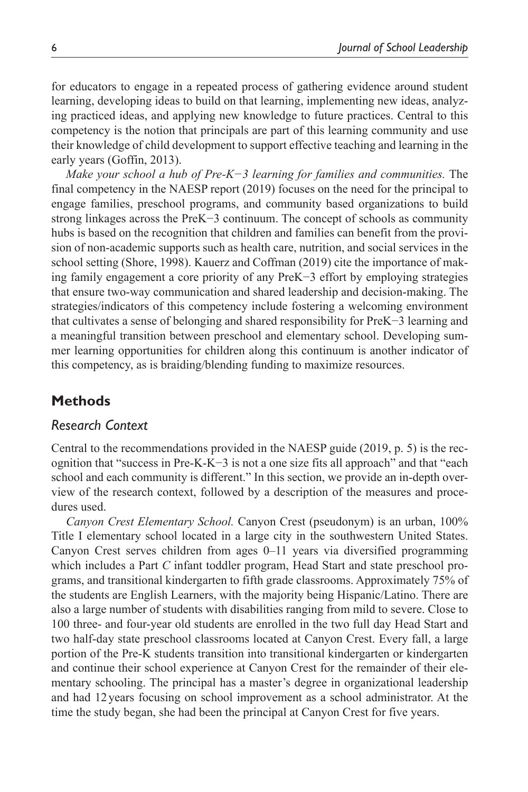for educators to engage in a repeated process of gathering evidence around student learning, developing ideas to build on that learning, implementing new ideas, analyzing practiced ideas, and applying new knowledge to future practices. Central to this competency is the notion that principals are part of this learning community and use their knowledge of child development to support effective teaching and learning in the early years (Goffin, 2013).

*Make your school a hub of Pre-K−3 learning for families and communities.* The final competency in the NAESP report (2019) focuses on the need for the principal to engage families, preschool programs, and community based organizations to build strong linkages across the PreK−3 continuum. The concept of schools as community hubs is based on the recognition that children and families can benefit from the provision of non-academic supports such as health care, nutrition, and social services in the school setting (Shore, 1998). Kauerz and Coffman (2019) cite the importance of making family engagement a core priority of any PreK−3 effort by employing strategies that ensure two-way communication and shared leadership and decision-making. The strategies/indicators of this competency include fostering a welcoming environment that cultivates a sense of belonging and shared responsibility for PreK−3 learning and a meaningful transition between preschool and elementary school. Developing summer learning opportunities for children along this continuum is another indicator of this competency, as is braiding/blending funding to maximize resources.

# **Methods**

#### *Research Context*

Central to the recommendations provided in the NAESP guide (2019, p. 5) is the recognition that "success in Pre-K-K−3 is not a one size fits all approach" and that "each school and each community is different." In this section, we provide an in-depth overview of the research context, followed by a description of the measures and procedures used.

*Canyon Crest Elementary School.* Canyon Crest (pseudonym) is an urban, 100% Title I elementary school located in a large city in the southwestern United States. Canyon Crest serves children from ages 0–11 years via diversified programming which includes a Part *C* infant toddler program, Head Start and state preschool programs, and transitional kindergarten to fifth grade classrooms. Approximately 75% of the students are English Learners, with the majority being Hispanic/Latino. There are also a large number of students with disabilities ranging from mild to severe. Close to 100 three- and four-year old students are enrolled in the two full day Head Start and two half-day state preschool classrooms located at Canyon Crest. Every fall, a large portion of the Pre-K students transition into transitional kindergarten or kindergarten and continue their school experience at Canyon Crest for the remainder of their elementary schooling. The principal has a master's degree in organizational leadership and had 12years focusing on school improvement as a school administrator. At the time the study began, she had been the principal at Canyon Crest for five years.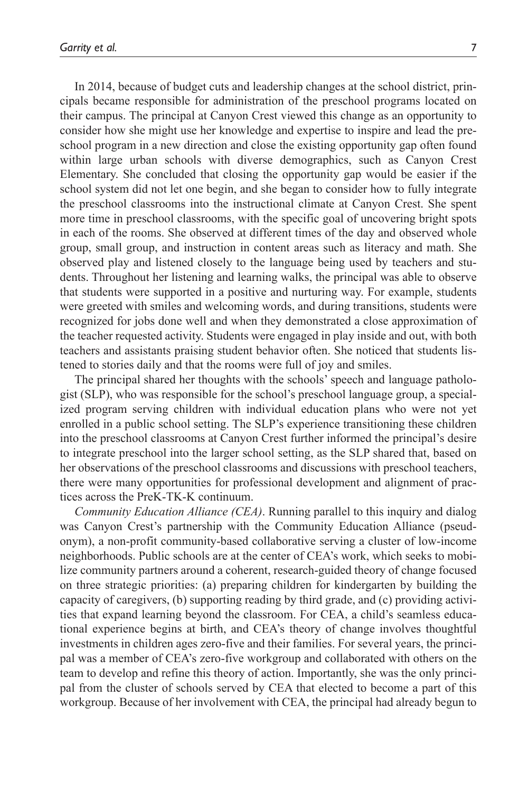In 2014, because of budget cuts and leadership changes at the school district, principals became responsible for administration of the preschool programs located on their campus. The principal at Canyon Crest viewed this change as an opportunity to consider how she might use her knowledge and expertise to inspire and lead the preschool program in a new direction and close the existing opportunity gap often found within large urban schools with diverse demographics, such as Canyon Crest Elementary. She concluded that closing the opportunity gap would be easier if the school system did not let one begin, and she began to consider how to fully integrate the preschool classrooms into the instructional climate at Canyon Crest. She spent more time in preschool classrooms, with the specific goal of uncovering bright spots in each of the rooms. She observed at different times of the day and observed whole group, small group, and instruction in content areas such as literacy and math. She observed play and listened closely to the language being used by teachers and students. Throughout her listening and learning walks, the principal was able to observe that students were supported in a positive and nurturing way. For example, students were greeted with smiles and welcoming words, and during transitions, students were recognized for jobs done well and when they demonstrated a close approximation of the teacher requested activity. Students were engaged in play inside and out, with both teachers and assistants praising student behavior often. She noticed that students listened to stories daily and that the rooms were full of joy and smiles.

The principal shared her thoughts with the schools' speech and language pathologist (SLP), who was responsible for the school's preschool language group, a specialized program serving children with individual education plans who were not yet enrolled in a public school setting. The SLP's experience transitioning these children into the preschool classrooms at Canyon Crest further informed the principal's desire to integrate preschool into the larger school setting, as the SLP shared that, based on her observations of the preschool classrooms and discussions with preschool teachers, there were many opportunities for professional development and alignment of practices across the PreK-TK-K continuum.

*Community Education Alliance (CEA)*. Running parallel to this inquiry and dialog was Canyon Crest's partnership with the Community Education Alliance (pseudonym), a non-profit community-based collaborative serving a cluster of low-income neighborhoods. Public schools are at the center of CEA's work, which seeks to mobilize community partners around a coherent, research-guided theory of change focused on three strategic priorities: (a) preparing children for kindergarten by building the capacity of caregivers, (b) supporting reading by third grade, and (c) providing activities that expand learning beyond the classroom. For CEA, a child's seamless educational experience begins at birth, and CEA's theory of change involves thoughtful investments in children ages zero-five and their families. For several years, the principal was a member of CEA's zero-five workgroup and collaborated with others on the team to develop and refine this theory of action. Importantly, she was the only principal from the cluster of schools served by CEA that elected to become a part of this workgroup. Because of her involvement with CEA, the principal had already begun to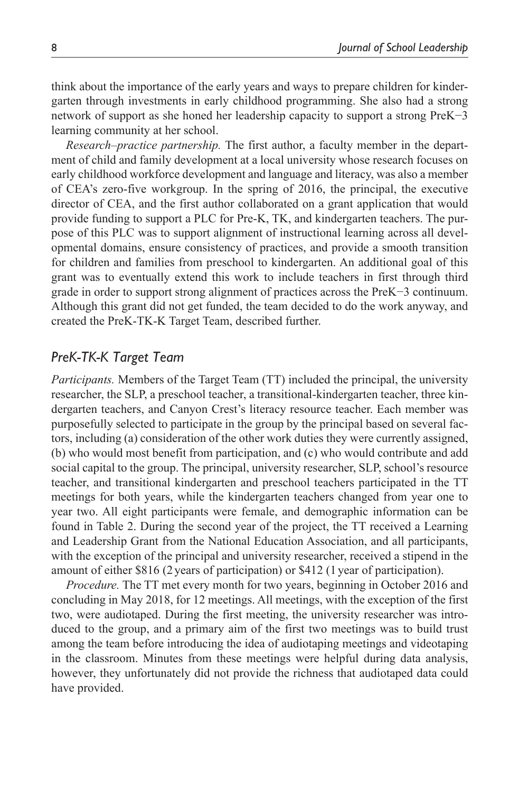think about the importance of the early years and ways to prepare children for kindergarten through investments in early childhood programming. She also had a strong network of support as she honed her leadership capacity to support a strong PreK−3 learning community at her school.

*Research–practice partnership.* The first author, a faculty member in the department of child and family development at a local university whose research focuses on early childhood workforce development and language and literacy, was also a member of CEA's zero-five workgroup. In the spring of 2016, the principal, the executive director of CEA, and the first author collaborated on a grant application that would provide funding to support a PLC for Pre-K, TK, and kindergarten teachers. The purpose of this PLC was to support alignment of instructional learning across all developmental domains, ensure consistency of practices, and provide a smooth transition for children and families from preschool to kindergarten. An additional goal of this grant was to eventually extend this work to include teachers in first through third grade in order to support strong alignment of practices across the PreK−3 continuum. Although this grant did not get funded, the team decided to do the work anyway, and created the PreK-TK-K Target Team, described further.

### *PreK-TK-K Target Team*

*Participants.* Members of the Target Team (TT) included the principal, the university researcher, the SLP, a preschool teacher, a transitional-kindergarten teacher, three kindergarten teachers, and Canyon Crest's literacy resource teacher. Each member was purposefully selected to participate in the group by the principal based on several factors, including (a) consideration of the other work duties they were currently assigned, (b) who would most benefit from participation, and (c) who would contribute and add social capital to the group. The principal, university researcher, SLP, school's resource teacher, and transitional kindergarten and preschool teachers participated in the TT meetings for both years, while the kindergarten teachers changed from year one to year two. All eight participants were female, and demographic information can be found in Table 2. During the second year of the project, the TT received a Learning and Leadership Grant from the National Education Association, and all participants, with the exception of the principal and university researcher, received a stipend in the amount of either \$816 (2years of participation) or \$412 (1year of participation).

*Procedure.* The TT met every month for two years, beginning in October 2016 and concluding in May 2018, for 12 meetings. All meetings, with the exception of the first two, were audiotaped. During the first meeting, the university researcher was introduced to the group, and a primary aim of the first two meetings was to build trust among the team before introducing the idea of audiotaping meetings and videotaping in the classroom. Minutes from these meetings were helpful during data analysis, however, they unfortunately did not provide the richness that audiotaped data could have provided.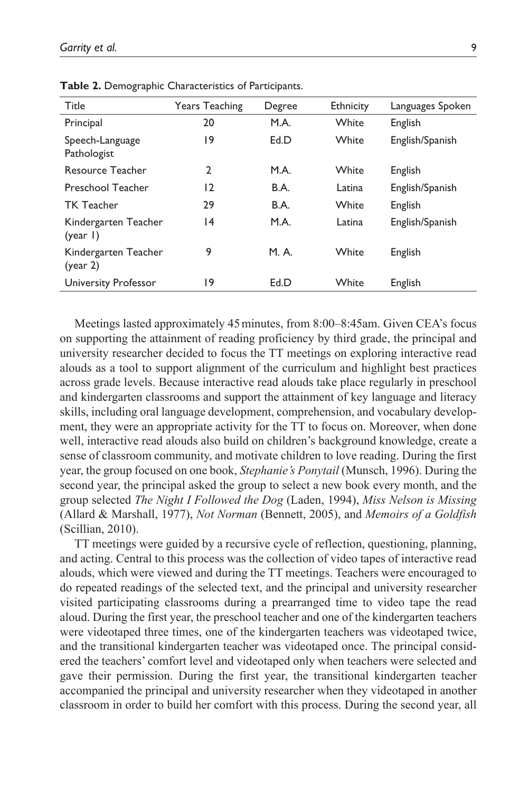| Title                            | <b>Years Teaching</b> | Degree      | <b>Ethnicity</b> | Languages Spoken |
|----------------------------------|-----------------------|-------------|------------------|------------------|
| Principal                        | 20                    | M.A.        | White            | English          |
| Speech-Language<br>Pathologist   | 19                    | Ed.D        | White            | English/Spanish  |
| <b>Resource Teacher</b>          | $\mathbf{2}$          | M.A.        | White            | English          |
| Preschool Teacher                | 12                    | <b>B.A.</b> | Latina           | English/Spanish  |
| <b>TK Teacher</b>                | 29                    | <b>B.A.</b> | White            | English          |
| Kindergarten Teacher<br>(year I) | 14                    | M.A.        | Latina           | English/Spanish  |
| Kindergarten Teacher<br>(year 2) | 9                     | M. A.       | White            | English          |
| University Professor             | 19                    | Ed.D        | White            | English          |

**Table 2.** Demographic Characteristics of Participants.

Meetings lasted approximately 45minutes, from 8:00–8:45am. Given CEA's focus on supporting the attainment of reading proficiency by third grade, the principal and university researcher decided to focus the TT meetings on exploring interactive read alouds as a tool to support alignment of the curriculum and highlight best practices across grade levels. Because interactive read alouds take place regularly in preschool and kindergarten classrooms and support the attainment of key language and literacy skills, including oral language development, comprehension, and vocabulary development, they were an appropriate activity for the TT to focus on. Moreover, when done well, interactive read alouds also build on children's background knowledge, create a sense of classroom community, and motivate children to love reading. During the first year, the group focused on one book, *Stephanie's Ponytail* (Munsch, 1996). During the second year, the principal asked the group to select a new book every month, and the group selected *The Night I Followed the Dog* (Laden, 1994), *Miss Nelson is Missing* (Allard & Marshall, 1977), *Not Norman* (Bennett, 2005), and *Memoirs of a Goldfish* (Scillian, 2010).

TT meetings were guided by a recursive cycle of reflection, questioning, planning, and acting. Central to this process was the collection of video tapes of interactive read alouds, which were viewed and during the TT meetings. Teachers were encouraged to do repeated readings of the selected text, and the principal and university researcher visited participating classrooms during a prearranged time to video tape the read aloud. During the first year, the preschool teacher and one of the kindergarten teachers were videotaped three times, one of the kindergarten teachers was videotaped twice, and the transitional kindergarten teacher was videotaped once. The principal considered the teachers' comfort level and videotaped only when teachers were selected and gave their permission. During the first year, the transitional kindergarten teacher accompanied the principal and university researcher when they videotaped in another classroom in order to build her comfort with this process. During the second year, all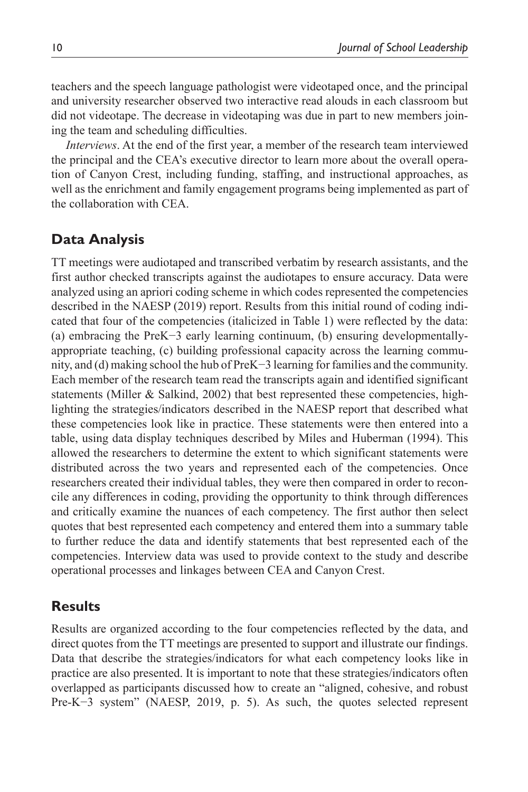teachers and the speech language pathologist were videotaped once, and the principal and university researcher observed two interactive read alouds in each classroom but did not videotape. The decrease in videotaping was due in part to new members joining the team and scheduling difficulties.

*Interviews*. At the end of the first year, a member of the research team interviewed the principal and the CEA's executive director to learn more about the overall operation of Canyon Crest, including funding, staffing, and instructional approaches, as well as the enrichment and family engagement programs being implemented as part of the collaboration with CEA.

### **Data Analysis**

TT meetings were audiotaped and transcribed verbatim by research assistants, and the first author checked transcripts against the audiotapes to ensure accuracy. Data were analyzed using an apriori coding scheme in which codes represented the competencies described in the NAESP (2019) report. Results from this initial round of coding indicated that four of the competencies (italicized in Table 1) were reflected by the data: (a) embracing the PreK−3 early learning continuum, (b) ensuring developmentallyappropriate teaching, (c) building professional capacity across the learning community, and (d) making school the hub of PreK−3 learning for families and the community. Each member of the research team read the transcripts again and identified significant statements (Miller  $&$  Salkind, 2002) that best represented these competencies, highlighting the strategies/indicators described in the NAESP report that described what these competencies look like in practice. These statements were then entered into a table, using data display techniques described by Miles and Huberman (1994). This allowed the researchers to determine the extent to which significant statements were distributed across the two years and represented each of the competencies. Once researchers created their individual tables, they were then compared in order to reconcile any differences in coding, providing the opportunity to think through differences and critically examine the nuances of each competency. The first author then select quotes that best represented each competency and entered them into a summary table to further reduce the data and identify statements that best represented each of the competencies. Interview data was used to provide context to the study and describe operational processes and linkages between CEA and Canyon Crest.

### **Results**

Results are organized according to the four competencies reflected by the data, and direct quotes from the TT meetings are presented to support and illustrate our findings. Data that describe the strategies/indicators for what each competency looks like in practice are also presented. It is important to note that these strategies/indicators often overlapped as participants discussed how to create an "aligned, cohesive, and robust Pre-K−3 system" (NAESP, 2019, p. 5). As such, the quotes selected represent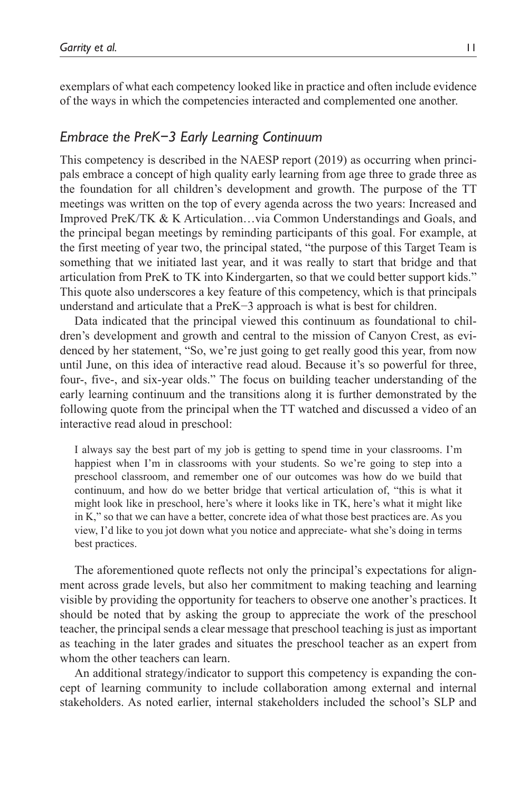exemplars of what each competency looked like in practice and often include evidence of the ways in which the competencies interacted and complemented one another.

### *Embrace the PreK−3 Early Learning Continuum*

This competency is described in the NAESP report (2019) as occurring when principals embrace a concept of high quality early learning from age three to grade three as the foundation for all children's development and growth. The purpose of the TT meetings was written on the top of every agenda across the two years: Increased and Improved PreK/TK & K Articulation…via Common Understandings and Goals, and the principal began meetings by reminding participants of this goal. For example, at the first meeting of year two, the principal stated, "the purpose of this Target Team is something that we initiated last year, and it was really to start that bridge and that articulation from PreK to TK into Kindergarten, so that we could better support kids." This quote also underscores a key feature of this competency, which is that principals understand and articulate that a PreK−3 approach is what is best for children.

Data indicated that the principal viewed this continuum as foundational to children's development and growth and central to the mission of Canyon Crest, as evidenced by her statement, "So, we're just going to get really good this year, from now until June, on this idea of interactive read aloud. Because it's so powerful for three, four-, five-, and six-year olds." The focus on building teacher understanding of the early learning continuum and the transitions along it is further demonstrated by the following quote from the principal when the TT watched and discussed a video of an interactive read aloud in preschool:

I always say the best part of my job is getting to spend time in your classrooms. I'm happiest when I'm in classrooms with your students. So we're going to step into a preschool classroom, and remember one of our outcomes was how do we build that continuum, and how do we better bridge that vertical articulation of, "this is what it might look like in preschool, here's where it looks like in TK, here's what it might like in K," so that we can have a better, concrete idea of what those best practices are. As you view, I'd like to you jot down what you notice and appreciate- what she's doing in terms best practices.

The aforementioned quote reflects not only the principal's expectations for alignment across grade levels, but also her commitment to making teaching and learning visible by providing the opportunity for teachers to observe one another's practices. It should be noted that by asking the group to appreciate the work of the preschool teacher, the principal sends a clear message that preschool teaching is just as important as teaching in the later grades and situates the preschool teacher as an expert from whom the other teachers can learn.

An additional strategy/indicator to support this competency is expanding the concept of learning community to include collaboration among external and internal stakeholders. As noted earlier, internal stakeholders included the school's SLP and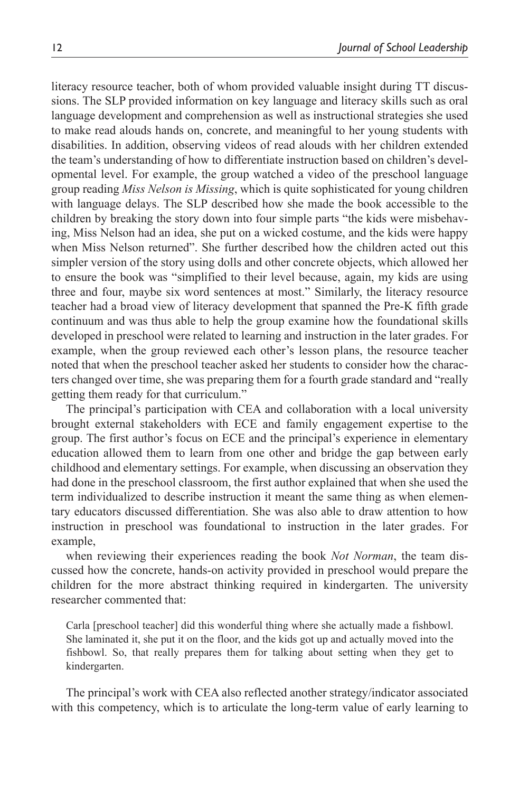literacy resource teacher, both of whom provided valuable insight during TT discussions. The SLP provided information on key language and literacy skills such as oral language development and comprehension as well as instructional strategies she used to make read alouds hands on, concrete, and meaningful to her young students with disabilities. In addition, observing videos of read alouds with her children extended the team's understanding of how to differentiate instruction based on children's developmental level. For example, the group watched a video of the preschool language group reading *Miss Nelson is Missing*, which is quite sophisticated for young children with language delays. The SLP described how she made the book accessible to the children by breaking the story down into four simple parts "the kids were misbehaving, Miss Nelson had an idea, she put on a wicked costume, and the kids were happy when Miss Nelson returned". She further described how the children acted out this simpler version of the story using dolls and other concrete objects, which allowed her to ensure the book was "simplified to their level because, again, my kids are using three and four, maybe six word sentences at most." Similarly, the literacy resource teacher had a broad view of literacy development that spanned the Pre-K fifth grade continuum and was thus able to help the group examine how the foundational skills developed in preschool were related to learning and instruction in the later grades. For example, when the group reviewed each other's lesson plans, the resource teacher noted that when the preschool teacher asked her students to consider how the characters changed over time, she was preparing them for a fourth grade standard and "really getting them ready for that curriculum."

The principal's participation with CEA and collaboration with a local university brought external stakeholders with ECE and family engagement expertise to the group. The first author's focus on ECE and the principal's experience in elementary education allowed them to learn from one other and bridge the gap between early childhood and elementary settings. For example, when discussing an observation they had done in the preschool classroom, the first author explained that when she used the term individualized to describe instruction it meant the same thing as when elementary educators discussed differentiation. She was also able to draw attention to how instruction in preschool was foundational to instruction in the later grades. For example,

when reviewing their experiences reading the book *Not Norman*, the team discussed how the concrete, hands-on activity provided in preschool would prepare the children for the more abstract thinking required in kindergarten. The university researcher commented that:

Carla [preschool teacher] did this wonderful thing where she actually made a fishbowl. She laminated it, she put it on the floor, and the kids got up and actually moved into the fishbowl. So, that really prepares them for talking about setting when they get to kindergarten.

The principal's work with CEA also reflected another strategy/indicator associated with this competency, which is to articulate the long-term value of early learning to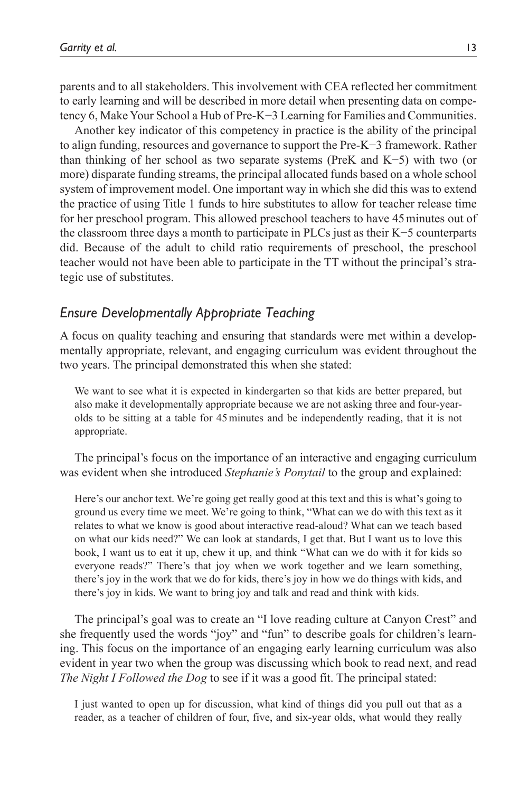parents and to all stakeholders. This involvement with CEA reflected her commitment to early learning and will be described in more detail when presenting data on competency 6, Make Your School a Hub of Pre-K−3 Learning for Families and Communities.

Another key indicator of this competency in practice is the ability of the principal to align funding, resources and governance to support the Pre-K−3 framework. Rather than thinking of her school as two separate systems (PreK and K−5) with two (or more) disparate funding streams, the principal allocated funds based on a whole school system of improvement model. One important way in which she did this was to extend the practice of using Title 1 funds to hire substitutes to allow for teacher release time for her preschool program. This allowed preschool teachers to have 45minutes out of the classroom three days a month to participate in PLCs just as their K−5 counterparts did. Because of the adult to child ratio requirements of preschool, the preschool teacher would not have been able to participate in the TT without the principal's strategic use of substitutes.

#### *Ensure Developmentally Appropriate Teaching*

A focus on quality teaching and ensuring that standards were met within a developmentally appropriate, relevant, and engaging curriculum was evident throughout the two years. The principal demonstrated this when she stated:

We want to see what it is expected in kindergarten so that kids are better prepared, but also make it developmentally appropriate because we are not asking three and four-yearolds to be sitting at a table for 45minutes and be independently reading, that it is not appropriate.

The principal's focus on the importance of an interactive and engaging curriculum was evident when she introduced *Stephanie's Ponytail* to the group and explained:

Here's our anchor text. We're going get really good at this text and this is what's going to ground us every time we meet. We're going to think, "What can we do with this text as it relates to what we know is good about interactive read-aloud? What can we teach based on what our kids need?" We can look at standards, I get that. But I want us to love this book, I want us to eat it up, chew it up, and think "What can we do with it for kids so everyone reads?" There's that joy when we work together and we learn something, there's joy in the work that we do for kids, there's joy in how we do things with kids, and there's joy in kids. We want to bring joy and talk and read and think with kids.

The principal's goal was to create an "I love reading culture at Canyon Crest" and she frequently used the words "joy" and "fun" to describe goals for children's learning. This focus on the importance of an engaging early learning curriculum was also evident in year two when the group was discussing which book to read next, and read *The Night I Followed the Dog* to see if it was a good fit. The principal stated:

I just wanted to open up for discussion, what kind of things did you pull out that as a reader, as a teacher of children of four, five, and six-year olds, what would they really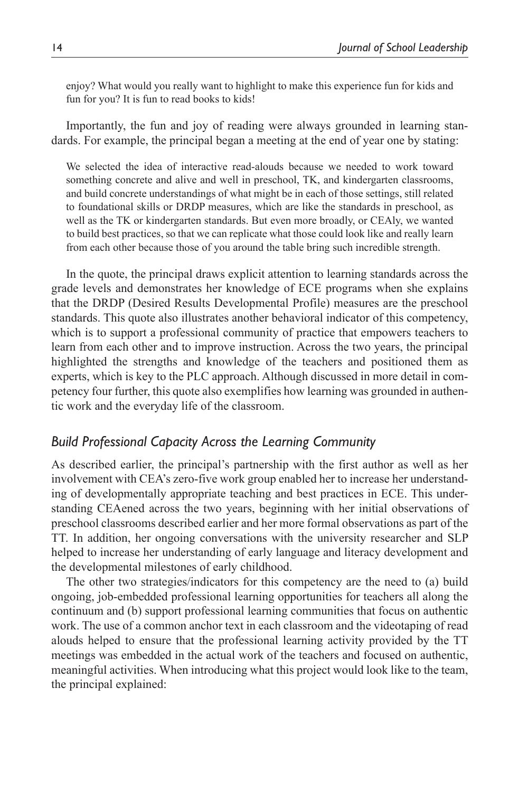enjoy? What would you really want to highlight to make this experience fun for kids and fun for you? It is fun to read books to kids!

Importantly, the fun and joy of reading were always grounded in learning standards. For example, the principal began a meeting at the end of year one by stating:

We selected the idea of interactive read-alouds because we needed to work toward something concrete and alive and well in preschool, TK, and kindergarten classrooms, and build concrete understandings of what might be in each of those settings, still related to foundational skills or DRDP measures, which are like the standards in preschool, as well as the TK or kindergarten standards. But even more broadly, or CEAly, we wanted to build best practices, so that we can replicate what those could look like and really learn from each other because those of you around the table bring such incredible strength.

In the quote, the principal draws explicit attention to learning standards across the grade levels and demonstrates her knowledge of ECE programs when she explains that the DRDP (Desired Results Developmental Profile) measures are the preschool standards. This quote also illustrates another behavioral indicator of this competency, which is to support a professional community of practice that empowers teachers to learn from each other and to improve instruction. Across the two years, the principal highlighted the strengths and knowledge of the teachers and positioned them as experts, which is key to the PLC approach. Although discussed in more detail in competency four further, this quote also exemplifies how learning was grounded in authentic work and the everyday life of the classroom.

#### *Build Professional Capacity Across the Learning Community*

As described earlier, the principal's partnership with the first author as well as her involvement with CEA's zero-five work group enabled her to increase her understanding of developmentally appropriate teaching and best practices in ECE. This understanding CEAened across the two years, beginning with her initial observations of preschool classrooms described earlier and her more formal observations as part of the TT. In addition, her ongoing conversations with the university researcher and SLP helped to increase her understanding of early language and literacy development and the developmental milestones of early childhood.

The other two strategies/indicators for this competency are the need to (a) build ongoing, job-embedded professional learning opportunities for teachers all along the continuum and (b) support professional learning communities that focus on authentic work. The use of a common anchor text in each classroom and the videotaping of read alouds helped to ensure that the professional learning activity provided by the TT meetings was embedded in the actual work of the teachers and focused on authentic, meaningful activities. When introducing what this project would look like to the team, the principal explained: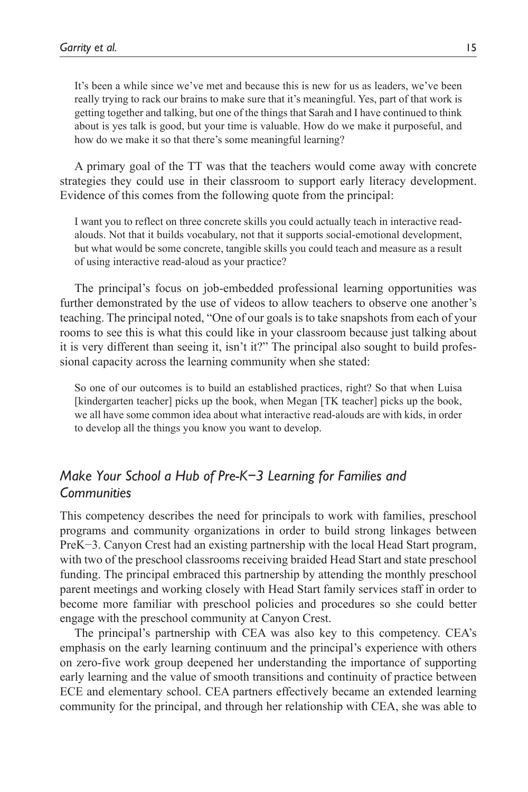It's been a while since we've met and because this is new for us as leaders, we've been really trying to rack our brains to make sure that it's meaningful. Yes, part of that work is getting together and talking, but one of the things that Sarah and I have continued to think about is yes talk is good, but your time is valuable. How do we make it purposeful, and how do we make it so that there's some meaningful learning?

A primary goal of the TT was that the teachers would come away with concrete strategies they could use in their classroom to support early literacy development. Evidence of this comes from the following quote from the principal:

I want you to reflect on three concrete skills you could actually teach in interactive readalouds. Not that it builds vocabulary, not that it supports social-emotional development, but what would be some concrete, tangible skills you could teach and measure as a result of using interactive read-aloud as your practice?

The principal's focus on job-embedded professional learning opportunities was further demonstrated by the use of videos to allow teachers to observe one another's teaching. The principal noted, "One of our goals is to take snapshots from each of your rooms to see this is what this could like in your classroom because just talking about it is very different than seeing it, isn't it?" The principal also sought to build professional capacity across the learning community when she stated:

So one of our outcomes is to build an established practices, right? So that when Luisa [kindergarten teacher] picks up the book, when Megan [TK teacher] picks up the book, we all have some common idea about what interactive read-alouds are with kids, in order to develop all the things you know you want to develop.

# *Make Your School a Hub of Pre-K−3 Learning for Families and Communities*

This competency describes the need for principals to work with families, preschool programs and community organizations in order to build strong linkages between PreK−3. Canyon Crest had an existing partnership with the local Head Start program, with two of the preschool classrooms receiving braided Head Start and state preschool funding. The principal embraced this partnership by attending the monthly preschool parent meetings and working closely with Head Start family services staff in order to become more familiar with preschool policies and procedures so she could better engage with the preschool community at Canyon Crest.

The principal's partnership with CEA was also key to this competency. CEA's emphasis on the early learning continuum and the principal's experience with others on zero-five work group deepened her understanding the importance of supporting early learning and the value of smooth transitions and continuity of practice between ECE and elementary school. CEA partners effectively became an extended learning community for the principal, and through her relationship with CEA, she was able to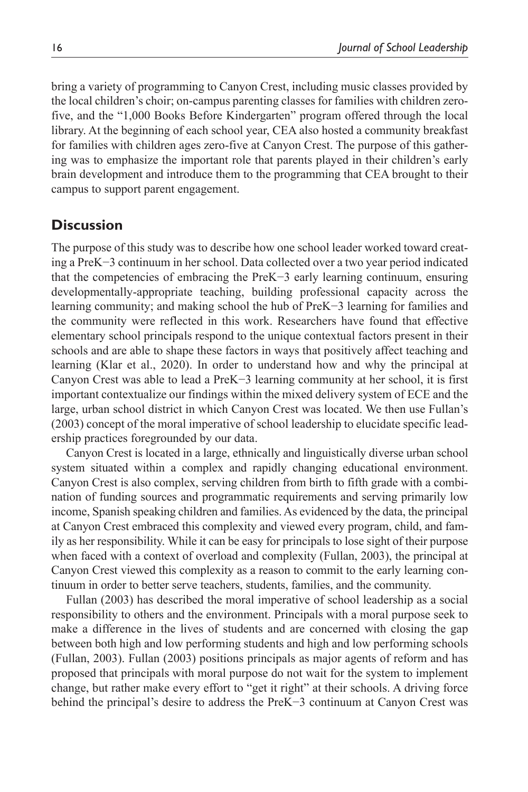bring a variety of programming to Canyon Crest, including music classes provided by the local children's choir; on-campus parenting classes for families with children zerofive, and the "1,000 Books Before Kindergarten" program offered through the local library. At the beginning of each school year, CEA also hosted a community breakfast for families with children ages zero-five at Canyon Crest. The purpose of this gathering was to emphasize the important role that parents played in their children's early brain development and introduce them to the programming that CEA brought to their campus to support parent engagement.

### **Discussion**

The purpose of this study was to describe how one school leader worked toward creating a PreK−3 continuum in her school. Data collected over a two year period indicated that the competencies of embracing the PreK−3 early learning continuum, ensuring developmentally-appropriate teaching, building professional capacity across the learning community; and making school the hub of PreK−3 learning for families and the community were reflected in this work. Researchers have found that effective elementary school principals respond to the unique contextual factors present in their schools and are able to shape these factors in ways that positively affect teaching and learning (Klar et al., 2020). In order to understand how and why the principal at Canyon Crest was able to lead a PreK−3 learning community at her school, it is first important contextualize our findings within the mixed delivery system of ECE and the large, urban school district in which Canyon Crest was located. We then use Fullan's (2003) concept of the moral imperative of school leadership to elucidate specific leadership practices foregrounded by our data.

Canyon Crest is located in a large, ethnically and linguistically diverse urban school system situated within a complex and rapidly changing educational environment. Canyon Crest is also complex, serving children from birth to fifth grade with a combination of funding sources and programmatic requirements and serving primarily low income, Spanish speaking children and families. As evidenced by the data, the principal at Canyon Crest embraced this complexity and viewed every program, child, and family as her responsibility. While it can be easy for principals to lose sight of their purpose when faced with a context of overload and complexity (Fullan, 2003), the principal at Canyon Crest viewed this complexity as a reason to commit to the early learning continuum in order to better serve teachers, students, families, and the community.

Fullan (2003) has described the moral imperative of school leadership as a social responsibility to others and the environment. Principals with a moral purpose seek to make a difference in the lives of students and are concerned with closing the gap between both high and low performing students and high and low performing schools (Fullan, 2003). Fullan (2003) positions principals as major agents of reform and has proposed that principals with moral purpose do not wait for the system to implement change, but rather make every effort to "get it right" at their schools. A driving force behind the principal's desire to address the PreK−3 continuum at Canyon Crest was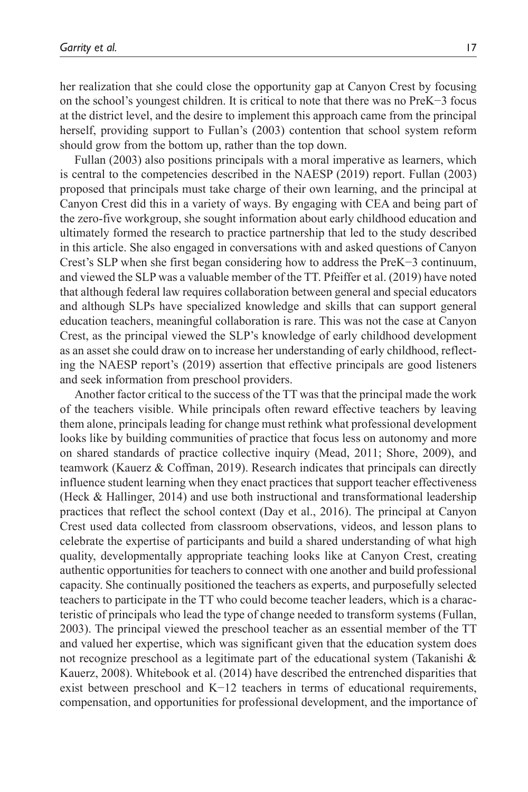her realization that she could close the opportunity gap at Canyon Crest by focusing on the school's youngest children. It is critical to note that there was no PreK−3 focus at the district level, and the desire to implement this approach came from the principal herself, providing support to Fullan's (2003) contention that school system reform should grow from the bottom up, rather than the top down.

Fullan (2003) also positions principals with a moral imperative as learners, which is central to the competencies described in the NAESP (2019) report. Fullan (2003) proposed that principals must take charge of their own learning, and the principal at Canyon Crest did this in a variety of ways. By engaging with CEA and being part of the zero-five workgroup, she sought information about early childhood education and ultimately formed the research to practice partnership that led to the study described in this article. She also engaged in conversations with and asked questions of Canyon Crest's SLP when she first began considering how to address the PreK−3 continuum, and viewed the SLP was a valuable member of the TT. Pfeiffer et al. (2019) have noted that although federal law requires collaboration between general and special educators and although SLPs have specialized knowledge and skills that can support general education teachers, meaningful collaboration is rare. This was not the case at Canyon Crest, as the principal viewed the SLP's knowledge of early childhood development as an asset she could draw on to increase her understanding of early childhood, reflecting the NAESP report's (2019) assertion that effective principals are good listeners and seek information from preschool providers.

Another factor critical to the success of the TT was that the principal made the work of the teachers visible. While principals often reward effective teachers by leaving them alone, principals leading for change must rethink what professional development looks like by building communities of practice that focus less on autonomy and more on shared standards of practice collective inquiry (Mead, 2011; Shore, 2009), and teamwork (Kauerz & Coffman, 2019). Research indicates that principals can directly influence student learning when they enact practices that support teacher effectiveness (Heck & Hallinger, 2014) and use both instructional and transformational leadership practices that reflect the school context (Day et al., 2016). The principal at Canyon Crest used data collected from classroom observations, videos, and lesson plans to celebrate the expertise of participants and build a shared understanding of what high quality, developmentally appropriate teaching looks like at Canyon Crest, creating authentic opportunities for teachers to connect with one another and build professional capacity. She continually positioned the teachers as experts, and purposefully selected teachers to participate in the TT who could become teacher leaders, which is a characteristic of principals who lead the type of change needed to transform systems (Fullan, 2003). The principal viewed the preschool teacher as an essential member of the TT and valued her expertise, which was significant given that the education system does not recognize preschool as a legitimate part of the educational system (Takanishi & Kauerz, 2008). Whitebook et al. (2014) have described the entrenched disparities that exist between preschool and K−12 teachers in terms of educational requirements, compensation, and opportunities for professional development, and the importance of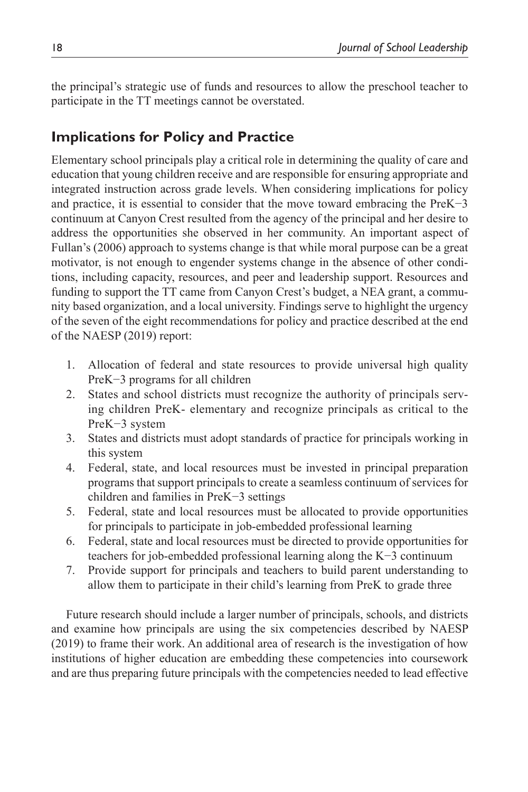the principal's strategic use of funds and resources to allow the preschool teacher to participate in the TT meetings cannot be overstated.

# **Implications for Policy and Practice**

Elementary school principals play a critical role in determining the quality of care and education that young children receive and are responsible for ensuring appropriate and integrated instruction across grade levels. When considering implications for policy and practice, it is essential to consider that the move toward embracing the PreK−3 continuum at Canyon Crest resulted from the agency of the principal and her desire to address the opportunities she observed in her community. An important aspect of Fullan's (2006) approach to systems change is that while moral purpose can be a great motivator, is not enough to engender systems change in the absence of other conditions, including capacity, resources, and peer and leadership support. Resources and funding to support the TT came from Canyon Crest's budget, a NEA grant, a community based organization, and a local university. Findings serve to highlight the urgency of the seven of the eight recommendations for policy and practice described at the end of the NAESP (2019) report:

- 1. Allocation of federal and state resources to provide universal high quality PreK−3 programs for all children
- 2. States and school districts must recognize the authority of principals serving children PreK- elementary and recognize principals as critical to the PreK−3 system
- 3. States and districts must adopt standards of practice for principals working in this system
- 4. Federal, state, and local resources must be invested in principal preparation programs that support principals to create a seamless continuum of services for children and families in PreK−3 settings
- 5. Federal, state and local resources must be allocated to provide opportunities for principals to participate in job-embedded professional learning
- 6. Federal, state and local resources must be directed to provide opportunities for teachers for job-embedded professional learning along the K−3 continuum
- 7. Provide support for principals and teachers to build parent understanding to allow them to participate in their child's learning from PreK to grade three

Future research should include a larger number of principals, schools, and districts and examine how principals are using the six competencies described by NAESP (2019) to frame their work. An additional area of research is the investigation of how institutions of higher education are embedding these competencies into coursework and are thus preparing future principals with the competencies needed to lead effective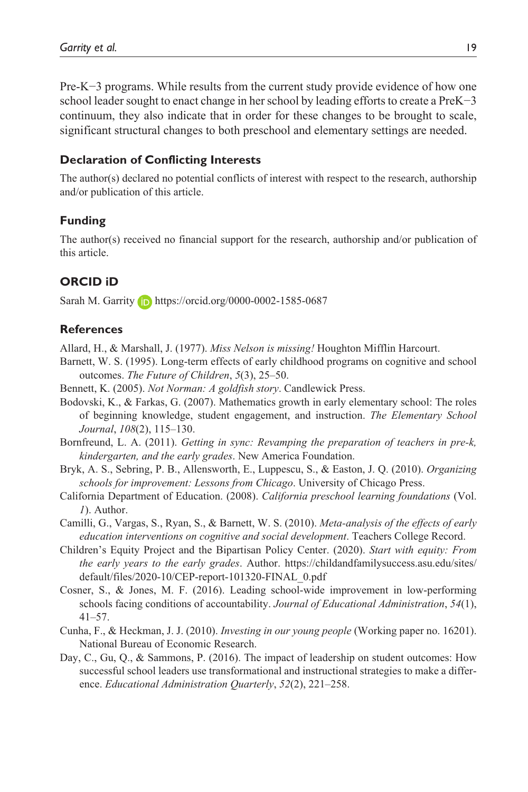Pre-K−3 programs. While results from the current study provide evidence of how one school leader sought to enact change in her school by leading efforts to create a PreK−3 continuum, they also indicate that in order for these changes to be brought to scale, significant structural changes to both preschool and elementary settings are needed.

#### **Declaration of Conflicting Interests**

The author(s) declared no potential conflicts of interest with respect to the research, authorship and/or publication of this article.

#### **Funding**

The author(s) received no financial support for the research, authorship and/or publication of this article.

#### **ORCID iD**

Sarah M. Garrity **i** https://orcid.org/0000-0002-1585-0687

#### **References**

Allard, H., & Marshall, J. (1977). *Miss Nelson is missing!* Houghton Mifflin Harcourt.

- Barnett, W. S. (1995). Long-term effects of early childhood programs on cognitive and school outcomes. *The Future of Children*, *5*(3), 25–50.
- Bennett, K. (2005). *Not Norman: A goldfish story*. Candlewick Press.
- Bodovski, K., & Farkas, G. (2007). Mathematics growth in early elementary school: The roles of beginning knowledge, student engagement, and instruction. *The Elementary School Journal*, *108*(2), 115–130.
- Bornfreund, L. A. (2011). *Getting in sync: Revamping the preparation of teachers in pre-k, kindergarten, and the early grades*. New America Foundation.
- Bryk, A. S., Sebring, P. B., Allensworth, E., Luppescu, S., & Easton, J. Q. (2010). *Organizing schools for improvement: Lessons from Chicago*. University of Chicago Press.
- California Department of Education. (2008). *California preschool learning foundations* (Vol. *1*). Author.
- Camilli, G., Vargas, S., Ryan, S., & Barnett, W. S. (2010). *Meta-analysis of the effects of early education interventions on cognitive and social development*. Teachers College Record.
- Children's Equity Project and the Bipartisan Policy Center. (2020). *Start with equity: From the early years to the early grades*. Author. https://childandfamilysuccess.asu.edu/sites/ default/files/2020-10/CEP-report-101320-FINAL\_0.pdf
- Cosner, S., & Jones, M. F. (2016). Leading school-wide improvement in low-performing schools facing conditions of accountability. *Journal of Educational Administration*, *54*(1), 41–57.
- Cunha, F., & Heckman, J. J. (2010). *Investing in our young people* (Working paper no. 16201). National Bureau of Economic Research.
- Day, C., Gu, Q., & Sammons, P. (2016). The impact of leadership on student outcomes: How successful school leaders use transformational and instructional strategies to make a difference. *Educational Administration Quarterly*, *52*(2), 221–258.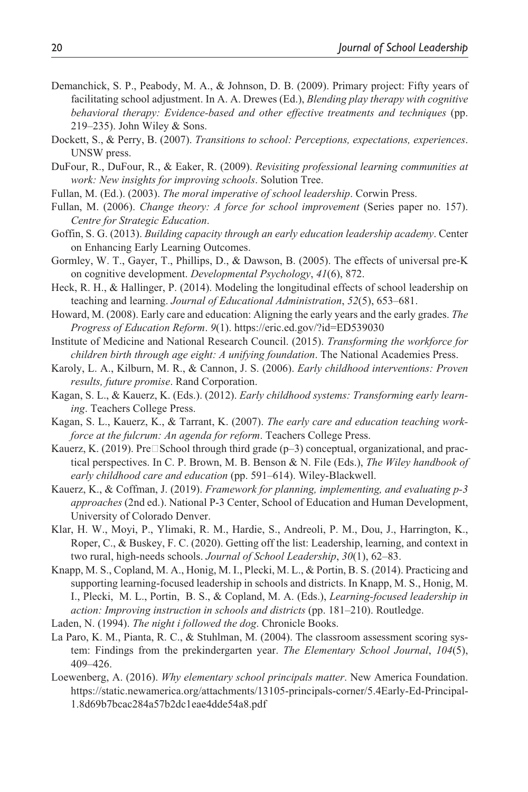- Demanchick, S. P., Peabody, M. A., & Johnson, D. B. (2009). Primary project: Fifty years of facilitating school adjustment. In A. A. Drewes (Ed.), *Blending play therapy with cognitive behavioral therapy: Evidence-based and other effective treatments and techniques* (pp. 219–235). John Wiley & Sons.
- Dockett, S., & Perry, B. (2007). *Transitions to school: Perceptions, expectations, experiences*. UNSW press.
- DuFour, R., DuFour, R., & Eaker, R. (2009). *Revisiting professional learning communities at work: New insights for improving schools*. Solution Tree.
- Fullan, M. (Ed.). (2003). *The moral imperative of school leadership*. Corwin Press.
- Fullan, M. (2006). *Change theory: A force for school improvement* (Series paper no. 157). *Centre for Strategic Education*.
- Goffin, S. G. (2013). *Building capacity through an early education leadership academy*. Center on Enhancing Early Learning Outcomes.
- Gormley, W. T., Gayer, T., Phillips, D., & Dawson, B. (2005). The effects of universal pre-K on cognitive development. *Developmental Psychology*, *41*(6), 872.
- Heck, R. H., & Hallinger, P. (2014). Modeling the longitudinal effects of school leadership on teaching and learning. *Journal of Educational Administration*, *52*(5), 653–681.
- Howard, M. (2008). Early care and education: Aligning the early years and the early grades. *The Progress of Education Reform*. *9*(1). https://eric.ed.gov/?id=ED539030
- Institute of Medicine and National Research Council. (2015). *Transforming the workforce for children birth through age eight: A unifying foundation*. The National Academies Press.
- Karoly, L. A., Kilburn, M. R., & Cannon, J. S. (2006). *Early childhood interventions: Proven results, future promise*. Rand Corporation.
- Kagan, S. L., & Kauerz, K. (Eds.). (2012). *Early childhood systems: Transforming early learning*. Teachers College Press.
- Kagan, S. L., Kauerz, K., & Tarrant, K. (2007). *The early care and education teaching workforce at the fulcrum: An agenda for reform*. Teachers College Press.
- Kauerz, K. (2019). Pre School through third grade  $(p-3)$  conceptual, organizational, and practical perspectives. In C. P. Brown, M. B. Benson & N. File (Eds.), *The Wiley handbook of early childhood care and education* (pp. 591–614). Wiley-Blackwell.
- Kauerz, K., & Coffman, J. (2019). *Framework for planning, implementing, and evaluating p-3 approaches* (2nd ed.). National P-3 Center, School of Education and Human Development, University of Colorado Denver.
- Klar, H. W., Moyi, P., Ylimaki, R. M., Hardie, S., Andreoli, P. M., Dou, J., Harrington, K., Roper, C., & Buskey, F. C. (2020). Getting off the list: Leadership, learning, and context in two rural, high-needs schools. *Journal of School Leadership*, *30*(1), 62–83.
- Knapp, M. S., Copland, M. A., Honig, M. I., Plecki, M. L., & Portin, B. S. (2014). Practicing and supporting learning-focused leadership in schools and districts. In Knapp, M. S., Honig, M. I., Plecki, M. L., Portin, B. S., & Copland, M. A. (Eds.), *Learning-focused leadership in action: Improving instruction in schools and districts* (pp. 181–210). Routledge.
- Laden, N. (1994). *The night i followed the dog*. Chronicle Books.
- La Paro, K. M., Pianta, R. C., & Stuhlman, M. (2004). The classroom assessment scoring system: Findings from the prekindergarten year. *The Elementary School Journal*, *104*(5), 409–426.
- Loewenberg, A. (2016). *Why elementary school principals matter*. New America Foundation. https://static.newamerica.org/attachments/13105-principals-corner/5.4Early-Ed-Principal-1.8d69b7bcac284a57b2dc1eae4dde54a8.pdf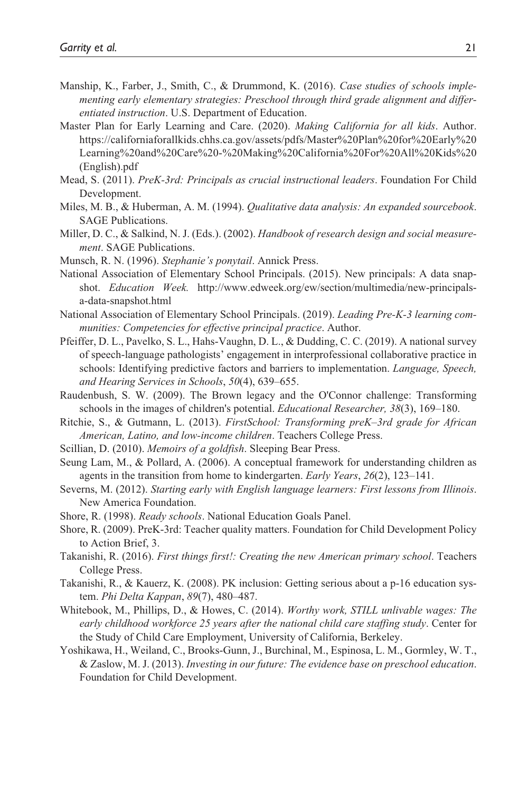- Manship, K., Farber, J., Smith, C., & Drummond, K. (2016). *Case studies of schools implementing early elementary strategies: Preschool through third grade alignment and differentiated instruction*. U.S. Department of Education.
- Master Plan for Early Learning and Care. (2020). *Making California for all kids*. Author. https://californiaforallkids.chhs.ca.gov/assets/pdfs/Master%20Plan%20for%20Early%20 Learning%20and%20Care%20-%20Making%20California%20For%20All%20Kids%20 (English).pdf
- Mead, S. (2011). *PreK-3rd: Principals as crucial instructional leaders*. Foundation For Child Development.
- Miles, M. B., & Huberman, A. M. (1994). *Qualitative data analysis: An expanded sourcebook*. SAGE Publications.
- Miller, D. C., & Salkind, N. J. (Eds.). (2002). *Handbook of research design and social measurement*. SAGE Publications.
- Munsch, R. N. (1996). *Stephanie's ponytail*. Annick Press.
- National Association of Elementary School Principals. (2015). New principals: A data snapshot. *Education Week.* http://www.edweek.org/ew/section/multimedia/new-principalsa-data-snapshot.html
- National Association of Elementary School Principals. (2019). *Leading Pre-K-3 learning communities: Competencies for effective principal practice*. Author.
- Pfeiffer, D. L., Pavelko, S. L., Hahs-Vaughn, D. L., & Dudding, C. C. (2019). A national survey of speech-language pathologists' engagement in interprofessional collaborative practice in schools: Identifying predictive factors and barriers to implementation. *Language, Speech, and Hearing Services in Schools*, *50*(4), 639–655.
- Raudenbush, S. W. (2009). The Brown legacy and the O'Connor challenge: Transforming schools in the images of children's potential. *Educational Researcher, 38*(3), 169–180.
- Ritchie, S., & Gutmann, L. (2013). *FirstSchool: Transforming preK–3rd grade for African American, Latino, and low-income children*. Teachers College Press.
- Scillian, D. (2010). *Memoirs of a goldfish*. Sleeping Bear Press.
- Seung Lam, M., & Pollard, A. (2006). A conceptual framework for understanding children as agents in the transition from home to kindergarten. *Early Years*, *26*(2), 123–141.
- Severns, M. (2012). *Starting early with English language learners: First lessons from Illinois*. New America Foundation.
- Shore, R. (1998). *Ready schools*. National Education Goals Panel.
- Shore, R. (2009). PreK-3rd: Teacher quality matters. Foundation for Child Development Policy to Action Brief, 3.
- Takanishi, R. (2016). *First things first!: Creating the new American primary school*. Teachers College Press.
- Takanishi, R., & Kauerz, K. (2008). PK inclusion: Getting serious about a p-16 education system. *Phi Delta Kappan*, *89*(7), 480–487.
- Whitebook, M., Phillips, D., & Howes, C. (2014). *Worthy work, STILL unlivable wages: The early childhood workforce 25 years after the national child care staffing study*. Center for the Study of Child Care Employment, University of California, Berkeley.
- Yoshikawa, H., Weiland, C., Brooks-Gunn, J., Burchinal, M., Espinosa, L. M., Gormley, W. T., & Zaslow, M. J. (2013). *Investing in our future: The evidence base on preschool education*. Foundation for Child Development.